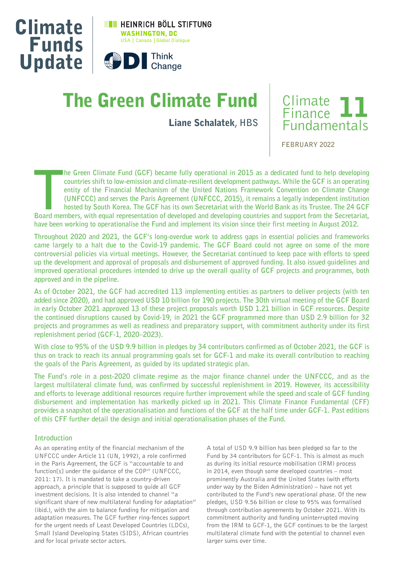

# The Green Climate Fund

Liane Schalatek**, HBS**



**FEBRUARY 2022**

**THE GIME CONTROLLER MET AND THE GIM SET AND THE SHIFT OF THE SHIFT OF UNFORT AND THE SHIFT OF IS AN OPENISION AND THE SHIFT OF IS AN OPENISION OF THE SET IS APPREMIXED SUPPORT OF THE SET AND THE SUPPORT (UNFCCC, 2015), it he Green Climate Fund (GCF) became fully operational in 2015 as a dedicated fund to help developing countries shift to low-emission and climate-resilient development pathways. While the GCF is an operating entity of the Financial Mechanism of the United Nations Framework Convention on Climate Change (UNFCCC) and serves the Paris Agreement (UNFCCC, 2015), it remains a legally independent institution hosted by South Korea. The GCF has its own Secretariat with the World Bank as its Trustee. The 24 GCF have been working to operationalise the Fund and implement its vision since their first meeting in August 2012.** 

**Throughout 2020 and 2021, the GCF's long-overdue work to address gaps in essential policies and frameworks came largely to a halt due to the Covid-19 pandemic. The GCF Board could not agree on some of the more controversial policies via virtual meetings. However, the Secretariat continued to keep pace with efforts to speed up the development and approval of proposals and disbursement of approved funding. It also issued guidelines and improved operational procedures intended to drive up the overall quality of GCF projects and programmes, both approved and in the pipeline.** 

**As of October 2021, the GCF had accredited 113 implementing entities as partners to deliver projects (with ten added since 2020), and had approved USD 10 billion for 190 projects. The 30th virtual meeting of the GCF Board in early October 2021 approved 13 of these project proposals worth USD 1.21 billion in GCF resources. Despite the continued disruptions caused by Covid-19, in 2021 the GCF programmed more than USD 2.9 billion for 32 projects and programmes as well as readiness and preparatory support, with commitment authority under its first replenishment period (GCF-1, 2020–2023).** 

**With close to 95% of the USD 9.9 billion in pledges by 34 contributors confirmed as of October 2021, the GCF is thus on track to reach its annual programming goals set for GCF-1 and make its overall contribution to reaching the goals of the Paris Agreement, as guided by its updated strategic plan.** 

**The Fund's role in a post-2020 climate regime as the major finance channel under the UNFCCC, and as the largest multilateral climate fund, was confirmed by successful replenishment in 2019. However, its accessibility and efforts to leverage additional resources require further improvement while the speed and scale of GCF funding disbursement and implementation has markedly picked up in 2021. This Climate Finance Fundamental (CFF) provides a snapshot of the operationalisation and functions of the GCF at the half time under GCF-1. Past editions of this CFF further detail the design and initial operationalisation phases of the Fund.** 

## **Introduction**

As an operating entity of the financial mechanism of the UNFCCC under Article 11 (UN, 1992), a role confirmed in the Paris Agreement, the GCF is "accountable to and function[s] under the guidance of the COP" (UNFCCC, 2011: 17). It is mandated to take a country-driven approach, a principle that is supposed to guide all GCF investment decisions. It is also intended to channel "a significant share of new multilateral funding for adaptation" (ibid.), with the aim to balance funding for mitigation and adaptation measures. The GCF further ring-fences support for the urgent needs of Least Developed Countries (LDCs), Small Island Developing States (SIDS), African countries and for local private sector actors.

A total of USD 9.9 billion has been pledged so far to the Fund by 34 contributors for GCF-1. This is almost as much as during its initial resource mobilisation (IRM) process in 2014, even though some developed countries – most prominently Australia and the United States (with efforts under way by the Biden Administration) – have not yet contributed to the Fund's new operational phase. Of the new pledges, USD 9.56 billion or close to 95% was formalised through contribution agreements by October 2021. With its commitment authority and funding uninterrupted moving from the IRM to GCF-1, the GCF continues to be the largest multilateral climate fund with the potential to channel even larger sums over time.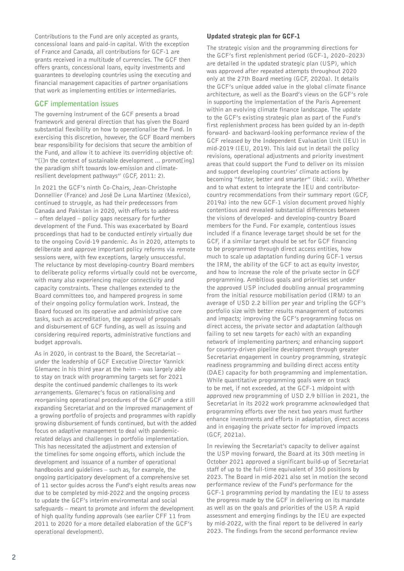Contributions to the Fund are only accepted as grants, concessional loans and paid-in capital. With the exception of France and Canada, all contributions for GCF-1 are grants received in a multitude of currencies. The GCF then offers grants, concessional loans, equity investments and guarantees to developing countries using the executing and financial management capacities of partner organisations that work as implementing entities or intermediaries.

# **GCF implementation issues**

The governing instrument of the GCF presents a broad framework and general direction that has given the Board substantial flexibility on how to operationalise the Fund. In exercising this discretion, however, the GCF Board members bear responsibility for decisions that secure the ambition of the Fund, and allow it to achieve its overriding objective of: "[i]n the context of sustainable development ... promot[ing] the paradigm shift towards low-emission and climateresilient development pathways" (GCF, 2011: 2).

In 2021 the GCF's ninth Co-Chairs, Jean-Christophe Donnellier (France) and José De Luna Martinez (Mexico), continued to struggle, as had their predecessors from Canada and Pakistan in 2020, with efforts to address – often delayed – policy gaps necessary for further development of the Fund. This was exacerbated by Board proceedings that had to be conducted entirely virtually due to the ongoing Covid-19 pandemic. As in 2020, attempts to deliberate and approve important policy reforms via remote sessions were, with few exceptions, largely unsuccessful. The reluctance by most developing-country Board members to deliberate policy reforms virtually could not be overcome, with many also experiencing major connectivity and capacity constraints. These challenges extended to the Board committees too, and hampered progress in some of their ongoing policy formulation work. Instead, the Board focused on its operative and administrative core tasks, such as accreditation, the approval of proposals and disbursement of GCF funding, as well as issuing and considering required reports, administrative functions and budget approvals.

As in 2020, in contrast to the Board, the Secretariat – under the leadership of GCF Executive Director Yannick Glemarec in his third year at the helm – was largely able to stay on track with programming targets set for 2021 despite the continued pandemic challenges to its work arrangements. Glemarec's focus on rationalising and reorganising operational procedures of the GCF under a still expanding Secretariat and on the improved management of a growing portfolio of projects and programmes with rapidly growing disbursement of funds continued, but with the added focus on adaptive management to deal with pandemicrelated delays and challenges in portfolio implementation. This has necessitated the adjustment and extension of the timelines for some ongoing efforts, which include the development and issuance of a number of operational handbooks and guidelines – such as, for example, the ongoing participatory development of a comprehensive set of 11 sector guides across the Fund's eight results areas now due to be completed by mid-2022 and the ongoing process to update the GCF's interim environmental and social safeguards – meant to promote and inform the development of high quality funding approvals (see earlier CFF 11 from 2011 to 2020 for a more detailed elaboration of the GCF's operational development).

## Updated strategic plan for GCF-1

The strategic vision and the programming directions for the GCF's first replenishment period (GCF-1, 2020–2023) are detailed in the updated strategic plan (USP), which was approved after repeated attempts throughout 2020 only at the 27th Board meeting (GCF, 2020a). It details the GCF's unique added value in the global climate finance architecture, as well as the Board's views on the GCF's role in supporting the implementation of the Paris Agreement within an evolving climate finance landscape. The update to the GCF's existing strategic plan as part of the Fund's first replenishment process has been guided by an in-depth forward- and backward-looking performance review of the GCF released by the Independent Evaluation Unit (IEU) in mid-2019 (IEU, 2019). This laid out in detail the policy revisions, operational adjustments and priority investment areas that could support the Fund to deliver on its mission and support developing countries' climate actions by becoming "faster, better and smarter" (ibid.: xvii). Whether and to what extent to integrate the IEU and contributorcountry recommendations from their summary report (GCF, 2019a) into the new GCF-1 vision document proved highly contentious and revealed substantial differences between the visions of developed- and developing-country Board members for the Fund. For example, contentious issues included if a finance leverage target should be set for the GCF, if a similar target should be set for GCF financing to be programmed through direct access entities, how much to scale up adaptation funding during GCF-1 versus the IRM, the ability of the GCF to act as equity investor, and how to increase the role of the private sector in GCF programming. Ambitious goals and priorities set under the approved USP included doubling annual programming from the initial resource mobilisation period (IRM) to an average of USD 2.2 billion per year and tripling the GCF's portfolio size with better results management of outcomes and impacts; improving the GCF's programming focus on direct access, the private sector and adaptation (although failing to set new targets for each) with an expanding network of implementing partners; and enhancing support for country-driven pipeline development through greater Secretariat engagement in country programming, strategic readiness programming and building direct access entity (DAE) capacity for both programming and implementation. While quantitative programming goals were on track to be met, if not exceeded, at the GCF-1 midpoint with approved new programming of USD 2.9 billion in 2021, the Secretariat in its 2022 work programme acknowledged that programming efforts over the next two years must further enhance investments and efforts in adaptation, direct access and in engaging the private sector for improved impacts (GCF, 2021a).

In reviewing the Secretariat's capacity to deliver against the USP moving forward, the Board at its 30th meeting in October 2021 approved a significant build-up of Secretariat staff of up to the full-time equivalent of 350 positions by 2023. The Board in mid-2021 also set in motion the second performance review of the Fund's performance for the GCF-1 programming period by mandating the IEU to assess the progress made by the GCF in delivering on its mandate as well as on the goals and priorities of the USP. A rapid assessment and emerging findings by the IEU are expected by mid-2022, with the final report to be delivered in early 2023. The findings from the second performance review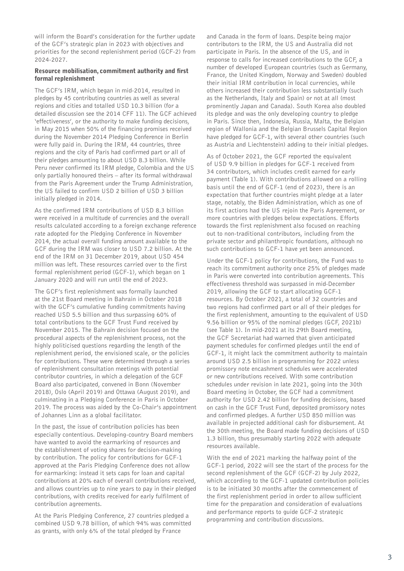will inform the Board's consideration for the further update of the GCF's strategic plan in 2023 with objectives and priorities for the second replenishment period (GCF-2) from 2024-2027.

## Resource mobilisation, commitment authority and first formal replenishment

The GCF's IRM, which began in mid-2014, resulted in pledges by 45 contributing countries as well as several regions and cities and totalled USD 10.3 billion (for a detailed discussion see the 2014 CFF 11). The GCF achieved 'effectiveness', or the authority to make funding decisions, in May 2015 when 50% of the financing promises received during the November 2014 Pledging Conference in Berlin were fully paid in. During the IRM, 44 countries, three regions and the city of Paris had confirmed part or all of their pledges amounting to about USD 8.3 billion. While Peru never confirmed its IRM pledge, Colombia and the US only partially honoured theirs – after its formal withdrawal from the Paris Agreement under the Trump Administration, the US failed to confirm USD 2 billion of USD 3 billion initially pledged in 2014.

As the confirmed IRM contributions of USD 8.3 billion were received in a multitude of currencies and the overall results calculated according to a foreign exchange reference rate adopted for the Pledging Conference in November 2014, the actual overall funding amount available to the GCF during the IRM was closer to USD 7.2 billion. At the end of the IRM on 31 December 2019, about USD 454 million was left. These resources carried over to the first formal replenishment period (GCF-1), which began on 1 January 2020 and will run until the end of 2023.

The GCF's first replenishment was formally launched at the 21st Board meeting in Bahrain in October 2018 with the GCF's cumulative funding commitments having reached USD 5.5 billion and thus surpassing 60% of total contributions to the GCF Trust Fund received by November 2015. The Bahrain decision focused on the procedural aspects of the replenishment process, not the highly politicised questions regarding the length of the replenishment period, the envisioned scale, or the policies for contributions. These were determined through a series of replenishment consultation meetings with potential contributor countries, in which a delegation of the GCF Board also participated, convened in Bonn (November 2018), Oslo (April 2019) and Ottawa (August 2019), and culminating in a Pledging Conference in Paris in October 2019. The process was aided by the Co-Chair's appointment of Johannes Linn as a global facilitator.

In the past, the issue of contribution policies has been especially contentious. Developing-country Board members have wanted to avoid the earmarking of resources and the establishment of voting shares for decision-making by contribution. The policy for contributions for GCF-1 approved at the Paris Pledging Conference does not allow for earmarking: instead it sets caps for loan and capital contributions at 20% each of overall contributions received, and allows countries up to nine years to pay in their pledged contributions, with credits received for early fulfilment of contribution agreements.

At the Paris Pledging Conference, 27 countries pledged a combined USD 9.78 billion, of which 94% was committed as grants, with only 6% of the total pledged by France

and Canada in the form of loans. Despite being major contributors to the IRM, the US and Australia did not participate in Paris. In the absence of the US, and in response to calls for increased contributions to the GCF, a number of developed European countries (such as Germany, France, the United Kingdom, Norway and Sweden) doubled their initial IRM contribution in local currencies, while others increased their contribution less substantially (such as the Netherlands, Italy and Spain) or not at all (most prominently Japan and Canada). South Korea also doubled its pledge and was the only developing country to pledge in Paris. Since then, Indonesia, Russia, Malta, the Belgian region of Wallonia and the Belgian Brussels Capital Region have pledged for GCF-1, with several other countries (such as Austria and Liechtenstein) adding to their initial pledges.

As of October 2021, the GCF reported the equivalent of USD 9.9 billion in pledges for GCF-1 received from 34 contributors, which includes credit earned for early payment (Table 1). With contributions allowed on a rolling basis until the end of GCF-1 (end of 2023), there is an expectation that further countries might pledge at a later stage, notably, the Biden Administration, which as one of its first actions had the US rejoin the Paris Agreement, or more countries with pledges below expectations. Efforts towards the first replenishment also focused on reaching out to non-traditional contributors, including from the private sector and philanthropic foundations, although no such contributions to GCF-1 have yet been announced.

Under the GCF-1 policy for contributions, the Fund was to reach its commitment authority once 25% of pledges made in Paris were converted into contribution agreements. This effectiveness threshold was surpassed in mid-December 2019, allowing the GCF to start allocating GCF-1 resources. By October 2021, a total of 32 countries and two regions had confirmed part or all of their pledges for the first replenishment, amounting to the equivalent of USD 9.56 billion or 95% of the nominal pledges (GCF, 2021b) (see Table 1). In mid-2021 at its 29th Board meeting, the GCF Secretariat had warned that given anticipated payment schedules for confirmed pledges until the end of GCF-1, it might lack the commitment authority to maintain around USD 2.5 billion in programming for 2022 unless promissory note encashment schedules were accelerated or new contributions received. With some contribution schedules under revision in late 2021, going into the 30th Board meeting in October, the GCF had a commitment authority for USD 2.42 billion for funding decisions, based on cash in the GCF Trust Fund, deposited promissory notes and confirmed pledges. A further USD 850 million was available in projected additional cash for disbursement. At the 30th meeting, the Board made funding decisions of USD 1.3 billion, thus presumably starting 2022 with adequate resources available.

With the end of 2021 marking the halfway point of the GCF-1 period, 2022 will see the start of the process for the second replenishment of the GCF (GCF-2) by July 2022, which according to the GCF-1 updated contribution policies is to be initiated 30 months after the commencement of the first replenishment period in order to allow sufficient time for the preparation and consideration of evaluations and performance reports to guide GCF-2 strategic programming and contribution discussions.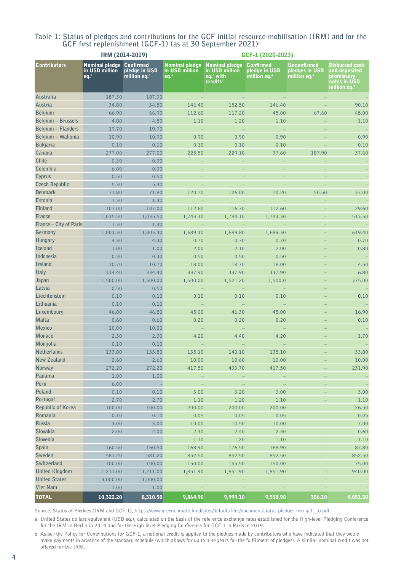| Table 1: Status of pledges and contributions for the GCF initial resource mobilisation (IRM) and for the |                                                                        |  |  |  |  |
|----------------------------------------------------------------------------------------------------------|------------------------------------------------------------------------|--|--|--|--|
|                                                                                                          | GCF first replenishment (GCF-1) (as at 30 September 2021) <sup>a</sup> |  |  |  |  |

|                          |                                                                      | IRM (2014-2019)                                  | GCF-1 (2020-2023)                                                   |                                                                 |                                                               |                                                                  |                                                                                                  |  |  |
|--------------------------|----------------------------------------------------------------------|--------------------------------------------------|---------------------------------------------------------------------|-----------------------------------------------------------------|---------------------------------------------------------------|------------------------------------------------------------------|--------------------------------------------------------------------------------------------------|--|--|
| <b>Contributors</b>      | <b>Nominal pledge Confirmed</b><br>in USD million<br>eq <sup>a</sup> | <b>pledge in USD</b><br>million eq. <sup>a</sup> | Nominal pledge Nominal pledge<br>in USD million<br>eq. <sup>a</sup> | in USD million<br>eq. <sup>a</sup> with<br>credits <sup>b</sup> | <b>Confirmed</b><br>pledge in USD<br>million eq. <sup>a</sup> | <b>Unconfirmed</b><br>pledges in USD<br>million eq. <sup>a</sup> | <b>Disbursed cash</b><br>and deposited<br>promissory<br>notes in USD<br>million eq. <sup>a</sup> |  |  |
| Australia                | 187.30                                                               | 187.30                                           |                                                                     |                                                                 |                                                               |                                                                  |                                                                                                  |  |  |
| Austria                  | 34.80                                                                | 34.80                                            | 146.40                                                              | 152.50                                                          | 146.40                                                        |                                                                  | 90.10                                                                                            |  |  |
| <b>Belgium</b>           | 66.90                                                                | 66.90                                            | 112.60                                                              | 117.20                                                          | 45.00                                                         | 67.60                                                            | 45.00                                                                                            |  |  |
| Belgium - Brussels       | 4.80                                                                 | 4.80                                             | 1.10                                                                | 1.20                                                            | 1.10                                                          | $\equiv$                                                         | 1.10                                                                                             |  |  |
| Belgium - Flanders       | 19.70                                                                | 19.70                                            | $\equiv$                                                            | $\sim$                                                          |                                                               | $\overline{\phantom{0}}$                                         |                                                                                                  |  |  |
| Belgium - Wallonia       | 10.90                                                                | 10.90                                            | 0.90                                                                | 0.90                                                            | 0.90                                                          | -                                                                | 0.90                                                                                             |  |  |
| <b>Bulgaria</b>          | 0.10                                                                 | 0.10                                             | 0.10                                                                | 0.10                                                            | 0.10                                                          |                                                                  | 0.10                                                                                             |  |  |
| Canada                   | 277.00                                                               | 277.00                                           | 225.50                                                              | 229.10                                                          | 37.60                                                         | 187.90                                                           | 37.60                                                                                            |  |  |
| Chile                    | 0.30                                                                 | 0.30                                             |                                                                     |                                                                 |                                                               |                                                                  |                                                                                                  |  |  |
| Colombia                 | 6.00                                                                 | 0.30                                             | $\qquad \qquad -$                                                   |                                                                 |                                                               |                                                                  |                                                                                                  |  |  |
| Cyprus                   | 0.50                                                                 | 0.50                                             | ÷,                                                                  |                                                                 |                                                               |                                                                  |                                                                                                  |  |  |
| <b>Czech Republic</b>    | 5.30                                                                 | 5.30                                             |                                                                     |                                                                 |                                                               |                                                                  |                                                                                                  |  |  |
| <b>Denmark</b>           | 71.80                                                                | 71.80                                            | 120.70                                                              | 126.00                                                          | 70.20                                                         | 50.50                                                            | 37.00                                                                                            |  |  |
| <b>Estonia</b>           | 1.30                                                                 | 1.30                                             |                                                                     |                                                                 |                                                               |                                                                  |                                                                                                  |  |  |
| Finland                  | 107.00                                                               | 107.00                                           | 112.60                                                              | 116.70                                                          | 112.60                                                        |                                                                  | 29.60                                                                                            |  |  |
| France                   | 1,035.50                                                             | 1,035.50                                         | 1,743.30                                                            | 1,794.10                                                        | 1,743.30                                                      |                                                                  | 513.50                                                                                           |  |  |
| France - City of Paris   | 1.30                                                                 | 1.30                                             | $\equiv$                                                            | $\sim$                                                          |                                                               |                                                                  |                                                                                                  |  |  |
| Germany                  | 1,003.30                                                             | 1,003.30                                         | 1,689.30                                                            | 1,689.80                                                        | 1,689.30                                                      |                                                                  | 619.40                                                                                           |  |  |
| Hungary                  | 4.30                                                                 | 4.30                                             | 0.70                                                                | 0.70                                                            | 0.70                                                          |                                                                  | 0.70                                                                                             |  |  |
| <b>Iceland</b>           | 1.00                                                                 | 1.00                                             | 2.00                                                                | 2.10                                                            | 2.00                                                          |                                                                  | 0.80                                                                                             |  |  |
| Indonesia                | 0.30                                                                 | 0.30                                             | 0.50                                                                | 0.50                                                            | 0.50                                                          |                                                                  |                                                                                                  |  |  |
| <b>Ireland</b>           | 10.70                                                                | 10.70                                            | 18.00                                                               | 18.70                                                           | 18.00                                                         |                                                                  | 4.50                                                                                             |  |  |
| Italy                    | 334.40                                                               | 334.40                                           | 337.90                                                              | 337.90                                                          | 337.90                                                        |                                                                  | 6.80                                                                                             |  |  |
| Japan                    | 1,500.00                                                             | 1,500.00                                         | 1,500.00                                                            | 1,521.20                                                        | 1,500.0                                                       | ÷,                                                               | 375.00                                                                                           |  |  |
| Latvia                   | 0.50                                                                 | 0.50                                             |                                                                     |                                                                 |                                                               |                                                                  |                                                                                                  |  |  |
| Liechtenstein            | 0.10                                                                 | 0.10                                             | 0.10                                                                | 0.10                                                            | 0.10                                                          |                                                                  | 0.10                                                                                             |  |  |
| Lithuania                | 0.10                                                                 | 0.10                                             |                                                                     |                                                                 |                                                               |                                                                  |                                                                                                  |  |  |
| Luxembourg               | 46.80                                                                | 46.80                                            | 45.00                                                               | 46.30                                                           | 45.00                                                         |                                                                  | 16.90                                                                                            |  |  |
| Malta                    | 0.60                                                                 | 0.60                                             | 0.20                                                                | 0.20                                                            | 0.20                                                          |                                                                  | 0.10                                                                                             |  |  |
| <b>Mexico</b>            | 10.00                                                                | 10.00                                            | $\equiv$                                                            |                                                                 |                                                               |                                                                  |                                                                                                  |  |  |
| <b>Monaco</b>            | 2.30                                                                 | 2.30                                             | 4.20                                                                | 4.40                                                            | 4.20                                                          |                                                                  | 1.70                                                                                             |  |  |
| Mongolia                 | 0.10                                                                 | 0.10                                             |                                                                     |                                                                 |                                                               |                                                                  |                                                                                                  |  |  |
| Netherlands              | 133.80                                                               | 133.80                                           | 135.10                                                              | 140.10                                                          | 135.10                                                        |                                                                  | 33.80                                                                                            |  |  |
| New Zealand              | 2.60                                                                 | 2.60                                             | 10.00                                                               | 10.60                                                           | 10.00                                                         |                                                                  | 10.00                                                                                            |  |  |
| <b>Norway</b>            | 272.20                                                               | 272.20                                           | 417.50                                                              | 433.70                                                          | 417.50                                                        |                                                                  | 231.90                                                                                           |  |  |
| Panama                   | 1.00                                                                 | 1.00                                             | ÷,                                                                  |                                                                 | $\qquad \qquad -$                                             |                                                                  |                                                                                                  |  |  |
| Peru                     | 6.00                                                                 | ÷                                                | $\equiv$                                                            |                                                                 |                                                               |                                                                  |                                                                                                  |  |  |
| Poland                   | 0.10                                                                 | 0.10                                             | 3.00                                                                | 3.20                                                            | 3.00                                                          |                                                                  | 3.00                                                                                             |  |  |
| Portugal                 | 2.70                                                                 | 2.70                                             | 1.10                                                                | 1.20                                                            | 1.10                                                          |                                                                  | $1.10$                                                                                           |  |  |
| <b>Republic of Korea</b> | 100.00                                                               | 100.00                                           | 200.00                                                              | 200.00                                                          | 200.00                                                        |                                                                  | 26.50                                                                                            |  |  |
| Romania                  | 0.10                                                                 | 0.10                                             | 0.05                                                                | 0.05                                                            | 0.05                                                          |                                                                  | 0.05                                                                                             |  |  |
| Russia                   | 3.00                                                                 | 3.00                                             | 10.00                                                               | 10.50                                                           | 10.00                                                         |                                                                  | 7.00                                                                                             |  |  |
| Slovakia                 | 2.00                                                                 | 2.00                                             | 2.30                                                                | 2.40                                                            | 2.30                                                          |                                                                  | 0.60                                                                                             |  |  |
| Slovenia                 | ÷                                                                    | ÷                                                | 1.10                                                                | 1.20                                                            | $1.10$                                                        |                                                                  | $1.10$                                                                                           |  |  |
| Spain                    | 160.50                                                               | 160.50                                           | 168.90                                                              | 176.50                                                          | 168.90                                                        |                                                                  | 87.80                                                                                            |  |  |
| Sweden                   | 581.20                                                               | 581.20                                           | 852.50                                                              | 852.50                                                          | 852.50                                                        |                                                                  | 852.50                                                                                           |  |  |
| Switzerland              | 100.00                                                               | 100.00                                           | 150.00                                                              | 155.50                                                          | 150.00                                                        |                                                                  | 75.00                                                                                            |  |  |
| <b>United Kingdom</b>    | 1,211.00                                                             | 1,211.00                                         | 1,851.90                                                            | 1,851.90                                                        | 1,851.90                                                      |                                                                  | 940.00                                                                                           |  |  |
| <b>United States</b>     | 3,000.00                                                             | 1,000.00                                         |                                                                     |                                                                 |                                                               |                                                                  |                                                                                                  |  |  |
| <b>Viet Nam</b>          | 1.00                                                                 | 1.00                                             |                                                                     |                                                                 |                                                               |                                                                  |                                                                                                  |  |  |
| <b>TOTAL</b>             | 10,322.20                                                            | 8,310.50                                         | 9,864.90                                                            | 9,999.10                                                        | 9,558.90                                                      | 306.10                                                           | 4,051.30                                                                                         |  |  |

Source: Status of Pledges (IRM and GCF-1), [https://www.greenclimate.fund/sites/default/files/document/status-pledges-irm-gcf1\\_0.pdf](https://www.greenclimate.fund/sites/default/files/document/status-pledges-irm-gcf1_0.pdf)

a. United States dollars equivalent (USD eq.), calculated on the basis of the reference exchange rates established for the High-level Pledging Conference for the IRM in Berlin in 2014 and for the High-level Pledging Conference for GCF-1 in Paris in 2019.

b. As per the Policy for Contributions for GCF-1, a notional credit is applied to the pledges made by contributors who have indicated that they would make payments in advance of the standard schedule (which allows for up to nine years for the fulfillment of pledges). A similar nominal credit was not offered for the IRM.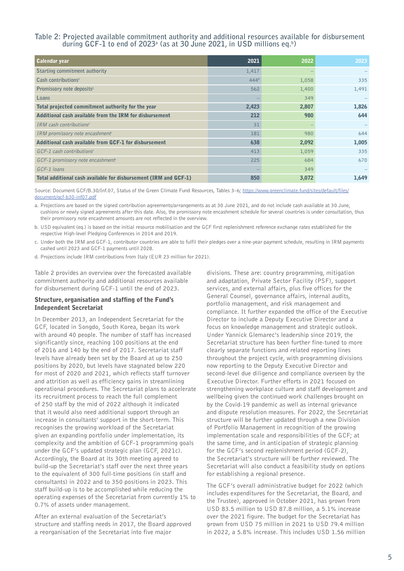## **Table 2: Projected available commitment authority and additional resources available for disbursement during GCF-1 to end of 2023a (as at 30 June 2021, in USD millions eq.b )**

| <b>Calendar year</b>                                             | 2021             | 2022  | 2023  |
|------------------------------------------------------------------|------------------|-------|-------|
| Starting commitment authority                                    | 1,417            |       |       |
| Cash contributions <sup>c</sup>                                  | 444 <sup>d</sup> | 1,058 | 335   |
| Promissory note deposits <sup>c</sup>                            | 562              | 1,400 | 1,491 |
| Loans                                                            |                  | 349   |       |
| Total projected commitment authority for the year                | 2,423            | 2,807 | 1,826 |
| Additional cash available from the IRM for disbursement          | 212              | 980   | 644   |
| IRM cash contributions <sup>c</sup>                              | 31               |       |       |
| IRM promissory note encashment <sup>e</sup>                      | 181              | 980   | 644   |
| Additional cash available from GCF-1 for disbursement            | 638              | 2,092 | 1,005 |
| $GCF-1$ cash contributions <sup>c</sup>                          | 413              | 1,059 | 335   |
| GCF-1 promissory note encashment <sup>c</sup>                    | 225              | 684   | 670   |
| GCF-1 loans                                                      |                  | 349   |       |
| Total additional cash available for disbursement (IRM and GCF-1) | 850              | 3,072 | 1,649 |

Source: Document GCF/B.30/Inf.07, Status of the Green Climate Fund Resources, Tables 3–6; [https://www.greenclimate.fund/sites/default/files/](https://www.greenclimate.fund/sites/default/files/document/gcf-b30-inf07.pdf) [document/gcf-b30-inf07.pdf](https://www.greenclimate.fund/sites/default/files/document/gcf-b30-inf07.pdf)

a. Projections are based on the signed contribution agreements/arrangements as at 30 June 2021, and do not include cash available at 30 June, cushions or newly signed agreements after this date. Also, the promissory note encashment schedule for several countries is under consultation, thus their promissory note encashment amounts are not reflected in the overview.

- b. USD equivalent (eq.) is based on the initial resource mobilisation and the GCF first replenishment reference exchange rates established for the respective High-level Pledging Conferences in 2014 and 2019.
- c. Under both the IRM and GCF-1, contributor countries are able to fulfil their pledges over a nine-year payment schedule, resulting in IRM payments cashed until 2023 and GCF-1 payments until 2028.
- d. Projections include IRM contributions from Italy (EUR 23 million for 2021).

Table 2 provides an overview over the forecasted available commitment authority and additional resources available for disbursement during GCF-1 until the end of 2023.

#### Structure, organisation and staffing of the Fund's Independent Secretariat

In December 2013, an Independent Secretariat for the GCF, located in Songdo, South Korea, began its work with around 40 people. The number of staff has increased significantly since, reaching 100 positions at the end of 2016 and 140 by the end of 2017. Secretariat staff levels have already been set by the Board at up to 250 positions by 2020, but levels have stagnated below 220 for most of 2020 and 2021, which reflects staff turnover and attrition as well as efficiency gains in streamlining operational procedures. The Secretariat plans to accelerate its recruitment process to reach the full complement of 250 staff by the mid of 2022 although it indicated that it would also need additional support through an increase in consultants' support in the short-term. This recognises the growing workload of the Secretariat given an expanding portfolio under implementation, its complexity and the ambition of GCF-1 programming goals under the GCF's updated strategic plan (GCF, 2021c). Accordingly, the Board at its 30th meeting agreed to build-up the Secretariat's staff over the next three years to the equivalent of 300 full-time positions (in staff and consultants) in 2022 and to 350 positions in 2023. This staff build-up is to be accomplished while reducing the operating expenses of the Secretariat from currently 1% to 0.7% of assets under management.

After an external evaluation of the Secretariat's structure and staffing needs in 2017, the Board approved a reorganisation of the Secretariat into five major

divisions. These are: country programming, mitigation and adaptation, Private Sector Facility (PSF), support services, and external affairs, plus five offices for the General Counsel, governance affairs, internal audits, portfolio management, and risk management and compliance. It further expanded the office of the Executive Director to include a Deputy Executive Director and a focus on knowledge management and strategic outlook. Under Yannick Glemarec's leadership since 2019, the Secretariat structure has been further fine-tuned to more clearly separate functions and related reporting lines throughout the project cycle, with programming divisions now reporting to the Deputy Executive Director and second-level due diligence and compliance overseen by the Executive Director. Further efforts in 2021 focused on strengthening workplace culture and staff development and wellbeing given the continued work challenges brought on by the Covid-19 pandemic as well as internal grievance and dispute resolution measures. For 2022, the Secretariat structure will be further updated through a new Division of Portfolio Management in recognition of the growing implementation scale and responsibilities of the GCF; at the same time, and in anticipation of strategic planning for the GCF's second replenishment period (GCF-2), the Secretariat's structure will be further reviewed. The Secretariat will also conduct a feasibility study on options for establishing a regional presence.

The GCF's overall administrative budget for 2022 (which includes expenditures for the Secretariat, the Board, and the Trustee), approved in October 2021, has grown from USD 83.5 million to USD 87.8 million, a 5.1% increase over the 2021 figure. The budget for the Secretariat has grown from USD 75 million in 2021 to USD 79.4 million in 2022, a 5.8% increase. This includes USD 1.56 million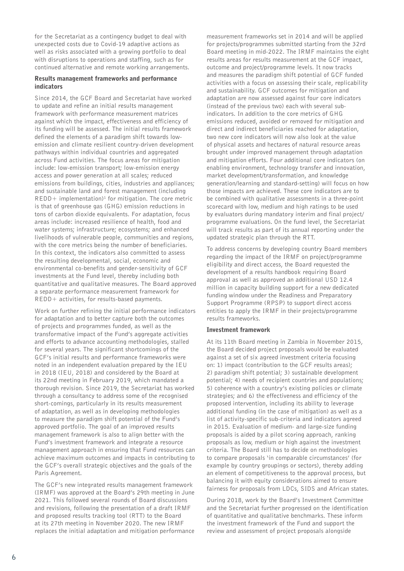for the Secretariat as a contingency budget to deal with unexpected costs due to Covid-19 adaptive actions as well as risks associated with a growing portfolio to deal with disruptions to operations and staffing, such as for continued alternative and remote working arrangements.

## Results management frameworks and performance indicators

Since 2014, the GCF Board and Secretariat have worked to update and refine an initial results management framework with performance measurement matrices against which the impact, effectiveness and efficiency of its funding will be assessed. The initial results framework defined the elements of a paradigm shift towards lowemission and climate resilient country-driven development pathways within individual countries and aggregated across Fund activities. The focus areas for mitigation include: low-emission transport; low-emission energy access and power generation at all scales; reduced emissions from buildings, cities, industries and appliances; and sustainable land and forest management (including  $REDD+ implementation$ <sup>1</sup> for mitigation. The core metric is that of greenhouse gas (GHG) emission reductions in tons of carbon dioxide equivalents. For adaptation, focus areas include: increased resilience of health, food and water systems; infrastructure; ecosystems; and enhanced livelihoods of vulnerable people, communities and regions, with the core metrics being the number of beneficiaries. In this context, the indicators also committed to assess the resulting developmental, social, economic and environmental co-benefits and gender-sensitivity of GCF investments at the Fund level, thereby including both quantitative and qualitative measures. The Board approved a separate performance measurement framework for REDD+ activities, for results-based payments.

Work on further refining the initial performance indicators for adaptation and to better capture both the outcomes of projects and programmes funded, as well as the transformative impact of the Fund's aggregate activities and efforts to advance accounting methodologies, stalled for several years. The significant shortcomings of the GCF's initial results and performance frameworks were noted in an independent evaluation prepared by the IEU in 2018 (IEU, 2018) and considered by the Board at its 22nd meeting in February 2019, which mandated a thorough revision. Since 2019, the Secretariat has worked through a consultancy to address some of the recognised short-comings, particularly in its results measurement of adaptation, as well as in developing methodologies to measure the paradigm shift potential of the Fund's approved portfolio. The goal of an improved results management framework is also to align better with the Fund's investment framework and integrate a resource management approach in ensuring that Fund resources can achieve maximum outcomes and impacts in contributing to the GCF's overall strategic objectives and the goals of the Paris Agreement.

The GCF's new integrated results management framework (IRMF) was approved at the Board's 29th meeting in June 2021. This followed several rounds of Board discussions and revisions, following the presentation of a draft IRMF and proposed results tracking tool (RTT) to the Board at its 27th meeting in November 2020. The new IRMF replaces the initial adaptation and mitigation performance measurement frameworks set in 2014 and will be applied for projects/programmes submitted starting from the 32rd Board meeting in mid-2022. The IRMF maintains the eight results areas for results measurement at the GCF impact, outcome and project/programme levels. It now tracks and measures the paradigm shift potential of GCF funded activities with a focus on assessing their scale, replicability and sustainability. GCF outcomes for mitigation and adaptation are now assessed against four core indicators (instead of the previous two) each with several subindicators. In addition to the core metrics of GHG emissions reduced, avoided or removed for mitigation and direct and indirect beneficiaries reached for adaptation, two new core indicators will now also look at the value of physical assets and hectares of natural resource areas brought under improved management through adaptation and mitigation efforts. Four additional core indicators (on enabling environment, technology transfer and innovation, market development/transformation, and knowledge generation/learning and standard-setting) will focus on how those impacts are achieved. These core indicators are to be combined with qualitative assessments in a three-point scorecard with low, medium and high ratings to be used by evaluators during mandatory interim and final project/ programme evaluations. On the fund level, the Secretariat will track results as part of its annual reporting under the updated strategic plan through the RTT.

To address concerns by developing country Board members regarding the impact of the IRMF on project/programme eligibility and direct access, the Board requested the development of a results handbook requiring Board approval as well as approved an additional USD 12.4 million in capacity building support for a new dedicated funding window under the Readiness and Preparatory Support Programme (RPSP) to support direct access entities to apply the IRMF in their projects/programme results frameworks.

## Investment framework

At its 11th Board meeting in Zambia in November 2015, the Board decided project proposals would be evaluated against a set of six agreed investment criteria focusing on: 1) impact (contribution to the GCF results areas); 2) paradigm shift potential; 3) sustainable development potential; 4) needs of recipient countries and populations; 5) coherence with a country's existing policies or climate strategies; and 6) the effectiveness and efficiency of the proposed intervention, including its ability to leverage additional funding (in the case of mitigation) as well as a list of activity-specific sub-criteria and indicators agreed in 2015. Evaluation of medium- and large-size funding proposals is aided by a pilot scoring approach, ranking proposals as low, medium or high against the investment criteria. The Board still has to decide on methodologies to compare proposals 'in comparable circumstances' (for example by country groupings or sectors), thereby adding an element of competitiveness to the approval process, but balancing it with equity considerations aimed to ensure fairness for proposals from LDCs, SIDS and African states.

During 2018, work by the Board's Investment Committee and the Secretariat further progressed on the identification of quantitative and qualitative benchmarks. These inform the investment framework of the Fund and support the review and assessment of project proposals alongside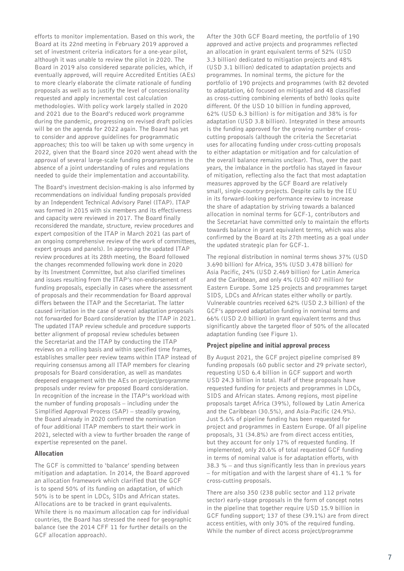efforts to monitor implementation. Based on this work, the Board at its 22nd meeting in February 2019 approved a set of investment criteria indicators for a one-year pilot, although it was unable to review the pilot in 2020. The Board in 2019 also considered separate policies, which, if eventually approved, will require Accredited Entities (AEs) to more clearly elaborate the climate rationale of funding proposals as well as to justify the level of concessionality requested and apply incremental cost calculation methodologies. With policy work largely stalled in 2020 and 2021 due to the Board's reduced work programme during the pandemic, progressing on revised draft policies will be on the agenda for 2022 again. The Board has yet to consider and approve guidelines for programmatic approaches; this too will be taken up with some urgency in 2022, given that the Board since 2020 went ahead with the approval of several large-scale funding programmes in the absence of a joint understanding of rules and regulations needed to guide their implementation and accountability.

The Board's investment decision-making is also informed by recommendations on individual funding proposals provided by an Independent Technical Advisory Panel (ITAP). ITAP was formed in 2015 with six members and its effectiveness and capacity were reviewed in 2017. The Board finally reconsidered the mandate, structure, review procedures and expert composition of the ITAP in March 2021 (as part of an ongoing comprehensive review of the work of committees, expert groups and panels). In approving the updated ITAP review procedures at its 28th meeting, the Board followed the changes recommended following work done in 2020 by its Investment Committee, but also clarified timelines and issues resulting from the ITAP's non-endorsement of funding proposals, especially in cases where the assessment of proposals and their recommendation for Board approval differs between the ITAP and the Secretariat. The latter caused irritation in the case of several adaptation proposals not forwarded for Board consideration by the ITAP in 2021. The updated ITAP review schedule and procedure supports better alignment of proposal review schedules between the Secretariat and the ITAP by conducting the ITAP reviews on a rolling basis and within specified time frames, establishes smaller peer review teams within ITAP instead of requiring consensus among all ITAP members for clearing proposals for Board consideration, as well as mandates deepened engagement with the AEs on project/programme proposals under review for proposed Board consideration. In recognition of the increase in the ITAP's workload with the number of funding proposals – including under the Simplified Approval Process (SAP) – steadily growing, the Board already in 2020 confirmed the nomination of four additional ITAP members to start their work in 2021, selected with a view to further broaden the range of expertise represented on the panel.

## Allocation

The GCF is committed to 'balance' spending between mitigation and adaptation. In 2014, the Board approved an allocation framework which clarified that the GCF is to spend 50% of its funding on adaptation, of which 50% is to be spent in LDCs, SIDs and African states. Allocations are to be tracked in grant equivalents. While there is no maximum allocation cap for individual countries, the Board has stressed the need for geographic balance (see the 2014 CFF 11 for further details on the GCF allocation approach).

After the 30th GCF Board meeting, the portfolio of 190 approved and active projects and programmes reflected an allocation in grant equivalent terms of 52% (USD 3.3 billion) dedicated to mitigation projects and 48% (USD 3.1 billion) dedicated to adaptation projects and programmes. In nominal terms, the picture for the portfolio of 190 projects and programmes (with 82 devoted to adaptation, 60 focused on mitigated and 48 classified as cross-cutting combining elements of both) looks quite different. Of the USD 10 billion in funding approved, 62% (USD 6.3 billion) is for mitigation and 38% is for adaptation (USD 3.8 billion). Integrated in these amounts is the funding approved for the growing number of crosscutting proposals (although the criteria the Secretariat uses for allocating funding under cross-cutting proposals to either adaptation or mitigation and for calculation of the overall balance remains unclear). Thus, over the past years, the imbalance in the portfolio has stayed in favour of mitigation, reflecting also the fact that most adaptation measures approved by the GCF Board are relatively small, single-country projects. Despite calls by the IEU in its forward-looking performance review to increase the share of adaptation by striving towards a balanced allocation in nominal terms for GCF-1, contributors and the Secretariat have committed only to maintain the efforts towards balance in grant equivalent terms, which was also confirmed by the Board at its 27th meeting as a goal under the updated strategic plan for GCF-1.

The regional distribution in nominal terms shows 37% (USD 3.690 billion) for Africa, 35% (USD 3.478 billion) for Asia Pacific, 24% (USD 2.469 billion) for Latin America and the Caribbean, and only 4% (USD 407 million) for Eastern Europe. Some 125 projects and programmes target SIDS, LDCs and African states either wholly or partly. Vulnerable countries received 62% (USD 2.3 billion) of the GCF's approved adaptation funding in nominal terms and 66% (USD 2.0 billion) in grant equivalent terms and thus significantly above the targeted floor of 50% of the allocated adaptation funding (see Figure 1).

## Project pipeline and initial approval process

By August 2021, the GCF project pipeline comprised 89 funding proposals (60 public sector and 29 private sector), requesting USD 6.4 billion in GCF support and worth USD 24.3 billion in total. Half of these proposals have requested funding for projects and programmes in LDCs, SIDS and African states. Among regions, most pipeline proposals target Africa (39%), followed by Latin America and the Caribbean (30.5%), and Asia-Pacific (24.9%). Just 5.6% of pipeline funding has been requested for project and programmes in Eastern Europe. Of all pipeline proposals, 31 (34.8%) are from direct access entities, but they account for only 17% of requested funding. If implemented, only 20.6% of total requested GCF funding in terms of nominal value is for adaptation efforts, with 38.3 % – and thus significantly less than in previous years – for mitigation and with the largest share of 41.1 % for cross-cutting proposals.

There are also 350 (238 public sector and 112 private sector) early-stage proposals in the form of concept notes in the pipeline that together require USD 15.9 billion in GCF funding support; 137 of these (39.1%) are from direct access entities, with only 30% of the required funding. While the number of direct access project/programme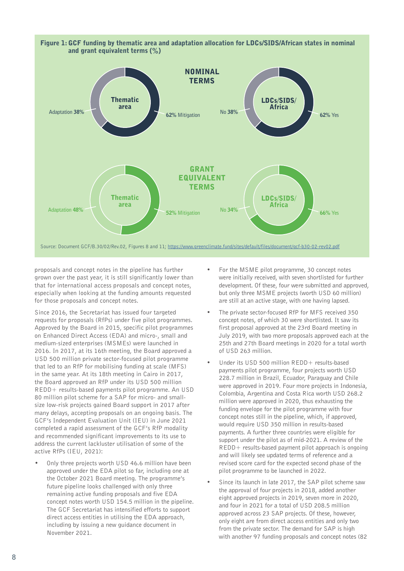

proposals and concept notes in the pipeline has further grown over the past year, it is still significantly lower than that for international access proposals and concept notes, especially when looking at the funding amounts requested for those proposals and concept notes.

Since 2016, the Secretariat has issued four targeted requests for proposals (RfPs) under five pilot programmes. Approved by the Board in 2015, specific pilot programmes on Enhanced Direct Access (EDA) and micro-, small and medium-sized enterprises (MSMEs) were launched in 2016. In 2017, at its 16th meeting, the Board approved a USD 500 million private sector-focused pilot programme that led to an RfP for mobilising funding at scale (MFS) in the same year. At its 18th meeting in Cairo in 2017, the Board approved an RfP under its USD 500 million REDD+ results-based payments pilot programme. An USD 80 million pilot scheme for a SAP for micro- and smallsize low-risk projects gained Board support in 2017 after many delays, accepting proposals on an ongoing basis. The GCF's Independent Evaluation Unit (IEU) in June 2021 completed a rapid assessment of the GCF's RfP modality and recommended significant improvements to its use to address the current lackluster utilisation of some of the active RfPs (IEU, 2021):

• Only three projects worth USD 46.6 million have been approved under the EDA pilot so far, including one at the October 2021 Board meeting. The programme's future pipeline looks challenged with only three remaining active funding proposals and five EDA concept notes worth USD 154.5 million in the pipeline. The GCF Secretariat has intensified efforts to support direct access entities in utilising the EDA approach, including by issuing a new guidance document in November 2021.

- For the MSME pilot programme, 30 concept notes were initially received, with seven shortlisted for further development. Of these, four were submitted and approved, but only three MSME projects (worth USD 60 million) are still at an active stage, with one having lapsed.
- The private sector-focused RfP for MFS received 350 concept notes, of which 30 were shortlisted. It saw its first proposal approved at the 23rd Board meeting in July 2019, with two more proposals approved each at the 25th and 27th Board meetings in 2020 for a total worth of USD 263 million.
- Under its USD 500 million REDD+ results-based payments pilot programme, four projects worth USD 228.7 million in Brazil, Ecuador, Paraguay and Chile were approved in 2019. Four more projects in Indonesia, Colombia, Argentina and Costa Rica worth USD 268.2 million were approved in 2020, thus exhausting the funding envelope for the pilot programme with four concept notes still in the pipeline, which, if approved, would require USD 350 million in results-based payments. A further three countries were eligible for support under the pilot as of mid-2021. A review of the REDD+ results-based payment pilot approach is ongoing and will likely see updated terms of reference and a revised score card for the expected second phase of the pilot programme to be launched in 2022.
- Since its launch in late 2017, the SAP pilot scheme saw the approval of four projects in 2018, added another eight approved projects in 2019, seven more in 2020, and four in 2021 for a total of USD 208.5 million approved across 23 SAP projects. Of these, however, only eight are from direct access entities and only two from the private sector. The demand for SAP is high with another 97 funding proposals and concept notes (82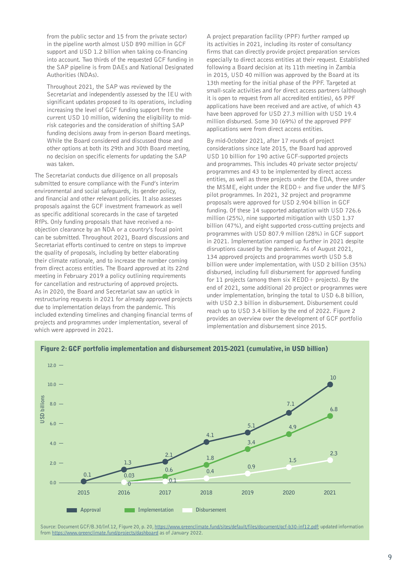from the public sector and 15 from the private sector) in the pipeline worth almost USD 890 million in GCF support and USD 1.2 billion when taking co-financing into account. Two thirds of the requested GCF funding in the SAP pipeline is from DAEs and National Designated Authorities (NDAs).

Throughout 2021, the SAP was reviewed by the Secretariat and independently assessed by the IEU with significant updates proposed to its operations, including increasing the level of GCF funding support from the current USD 10 million, widening the eligibility to midrisk categories and the consideration of shifting SAP funding decisions away from in-person Board meetings. While the Board considered and discussed those and other options at both its 29th and 30th Board meeting, no decision on specific elements for updating the SAP was taken.

The Secretariat conducts due diligence on all proposals submitted to ensure compliance with the Fund's interim environmental and social safeguards, its gender policy, and financial and other relevant policies. It also assesses proposals against the GCF investment framework as well as specific additional scorecards in the case of targeted RfPs. Only funding proposals that have received a noobjection clearance by an NDA or a country's focal point can be submitted. Throughout 2021, Board discussions and Secretariat efforts continued to centre on steps to improve the quality of proposals, including by better elaborating their climate rationale, and to increase the number coming from direct access entities. The Board approved at its 22nd meeting in February 2019 a policy outlining requirements for cancellation and restructuring of approved projects. As in 2020, the Board and Secretariat saw an uptick in restructuring requests in 2021 for already approved projects due to implementation delays from the pandemic. This included extending timelines and changing financial terms of projects and programmes under implementation, several of which were approved in 2021.

A project preparation facility (PPF) further ramped up its activities in 2021, including its roster of consultancy firms that can directly provide project preparation services especially to direct access entities at their request. Established following a Board decision at its 11th meeting in Zambia in 2015, USD 40 million was approved by the Board at its 13th meeting for the initial phase of the PPF. Targeted at small-scale activities and for direct access partners (although it is open to request from all accredited entities), 65 PPF applications have been received and are active, of which 43 have been approved for USD 27.3 million with USD 19.4 million disbursed. Some 30 (69%) of the approved PPF applications were from direct access entities.

By mid-October 2021, after 17 rounds of project considerations since late 2015, the Board had approved USD 10 billion for 190 active GCF-supported projects and programmes. This includes 40 private sector projects/ programmes and 43 to be implemented by direct access entities, as well as three projects under the EDA, three under the  $MSME$ , eight under the  $REDD+$  and five under the MFS pilot programmes. In 2021, 32 project and programme proposals were approved for USD 2.904 billion in GCF funding. Of these 14 supported adaptation with USD 726.6 million (25%), nine supported mitigation with USD 1.37 billion (47%), and eight supported cross-cutting projects and programmes with USD 807.9 million (28%) in GCF support in 2021. Implementation ramped up further in 2021 despite disruptions caused by the pandemic. As of August 2021, 134 approved projects and programmes worth USD 5.8 billion were under implementation, with USD 2 billion (35%) disbursed, including full disbursement for approved funding for 11 projects (among them six REDD+ projects). By the end of 2021, some additional 20 project or programmes were under implementation, bringing the total to USD 6.8 billion, with USD 2.3 billion in disbursement. Disbursement could reach up to USD 3.4 billion by the end of 2022. Figure 2 provides an overview over the development of GCF portfolio implementation and disbursement since 2015.



Source: Document GCF/B.30/Inf.12, Figure 20, p. 20, [https://www.greenclimate.fund/sites/default/files/document/gcf-b30-inf12.pdf;](https://www.greenclimate.fund/sites/default/files/document/gcf-b30-inf12.pdf) updated information from <https://www.greenclimate.fund/projects/dashboard> as of January 2022.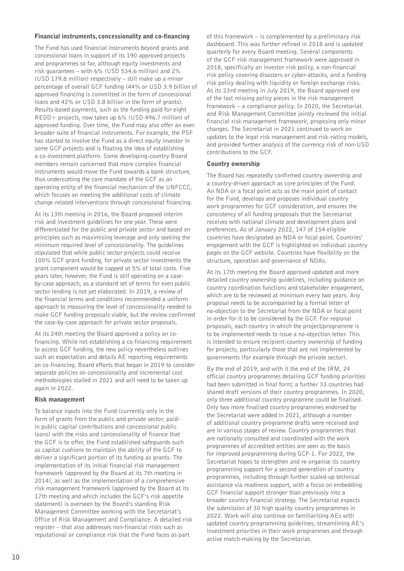#### Financial instruments, concessionality and co-financing

The Fund has used financial instruments beyond grants and concessional loans in support of its 190 approved projects and programmes so far, although equity investments and risk guarantees – with 6% (USD 534.6 million) and 2% (USD 179.8 million) respectively – still make up a minor percentage of overall GCF funding (44% or USD 3.9 billion of approved financing is committed in the form of concessional loans and 42% or USD 3.8 billion in the form of grants). Results-based payments, such as the funding paid for eight REDD+ projects, now takes up 6% (USD 496.7 million) of approved funding. Over time, the Fund may also offer an even broader suite of financial instruments. For example, the PSF has started to involve the Fund as a direct equity investor in some GCF projects and is floating the idea of establishing a co-investment platform. Some developing-country Board members remain concerned that more complex financial instruments would move the Fund towards a bank structure, thus undercutting the core mandate of the GCF as an operating entity of the financial mechanism of the UNFCCC, which focuses on meeting the additional costs of climate change-related interventions through concessional financing.

At its 13th meeting in 2016, the Board proposed interim risk and investment guidelines for one year. These were differentiated for the public and private sector and based on principles such as maximising leverage and only seeking the minimum required level of concessionality. The guidelines stipulated that while public sector projects could receive 100% GCF grant funding, for private sector investments the grant component would be capped at 5% of total costs. Five years later, however, the Fund is still operating on a caseby-case approach, as a standard set of terms for even public sector lending is not yet elaborated. In 2019, a review of the financial terms and conditions recommended a uniform approach to measuring the level of concessionality needed to make GCF funding proposals viable, but the review confirmed the case-by-case approach for private sector proposals.

At its 24th meeting the Board approved a policy on cofinancing. While not establishing a co-financing requirement to access GCF funding, the new policy nevertheless outlines such an expectation and details AE reporting requirements on co-financing. Board efforts that began in 2019 to consider separate policies on concessionality and incremental cost methodologies stalled in 2021 and will need to be taken up again in 2022.

## Risk management

To balance inputs into the Fund (currently only in the form of grants from the public and private sector, paidin public capital contributions and concessional public loans) with the risks and concessionality of finance that the GCF is to offer, the Fund established safeguards such as capital cushions to maintain the ability of the GCF to deliver a significant portion of its funding as grants. The implementation of its initial financial risk management framework (approved by the Board at its 7th meeting in 2014), as well as the implementation of a comprehensive risk management framework (approved by the Board at its 17th meeting and which includes the GCF's risk appetite statement) is overseen by the Board's standing Risk Management Committee working with the Secretariat's Office of Risk Management and Compliance. A detailed risk register – that also addresses non-financial risks such as reputational or compliance risk that the Fund faces as part

of this framework – is complemented by a preliminary risk dashboard. This was further refined in 2018 and is updated quarterly for every Board meeting. Several components of the GCF risk management framework were approved in 2018, specifically an investor risk policy, a non-financial risk policy covering disasters or cyber-attacks, and a funding risk policy dealing with liquidity or foreign exchange risks. At its 23rd meeting in July 2019, the Board approved one of the last missing policy pieces in the risk management framework – a compliance policy. In 2020, the Secretariat and Risk Management Committee jointly reviewed the initial financial risk management framework, proposing only minor changes. The Secretariat in 2021 continued to work on updates to the legal risk management and risk-rating models, and provided further analysis of the currency risk of non-USD contributions to the GCF.

#### Country ownership

The Board has repeatedly confirmed country ownership and a country-driven approach as core principles of the Fund. An NDA or a focal point acts as the main point of contact for the Fund, develops and proposes individual country work programmes for GCF consideration, and ensures the consistency of all funding proposals that the Secretariat receives with national climate and development plans and preferences. As of January 2022, 147 of 154 eligible countries have designated an NDA or focal point. Countries' engagement with the GCF is highlighted on individual country pages on the GCF website. Countries have flexibility on the structure, operation and governance of NDAs.

At its 17th meeting the Board approved updated and more detailed country ownership guidelines, including guidance on country coordination functions and stakeholder engagement, which are to be reviewed at minimum every two years. Any proposal needs to be accompanied by a formal letter of no-objection to the Secretariat from the NDA or focal point in order for it to be considered by the GCF. For regional proposals, each country in which the project/programme is to be implemented needs to issue a no-objection letter. This is intended to ensure recipient-country ownership of funding for projects, particularly those that are not implemented by governments (for example through the private sector).

By the end of 2019, and with it the end of the IRM, 24 official country programmes detailing GCF funding priorities had been submitted in final form; a further 33 countries had shared draft versions of their country programmes. In 2020, only three additional country programme could be finalised. Only two more finalised country programmes endorsed by the Secretariat were added in 2021, although a number of additional country programme drafts were received and are in various stages of review. Country programmes that are nationally consulted and coordinated with the work programmes of accredited entities are seen as the basis for improved programming during GCF-1. For 2022, the Secretariat hopes to strengthen and re-organise its country programming support for a second generation of country programmes, including through further scaled-up technical assistance via readiness support, with a focus on embedding GCF financial support stronger than previously into a broader country financial strategy. The Secretariat expects the submission of 30 high quality country programmes in 2022. Work will also continue on familiarising AEs with updated country programming guidelines, streamlining AE's investment priorities in their work programmes and through active match-making by the Secretariat.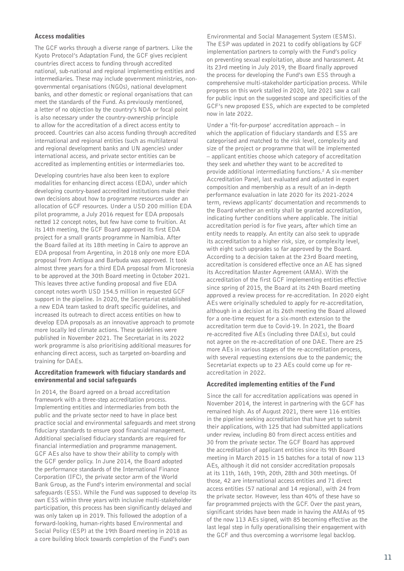#### Access modalities

The GCF works through a diverse range of partners. Like the Kyoto Protocol's Adaptation Fund, the GCF gives recipient countries direct access to funding through accredited national, sub-national and regional implementing entities and intermediaries. These may include government ministries, nongovernmental organisations (NGOs), national development banks, and other domestic or regional organisations that can meet the standards of the Fund. As previously mentioned, a letter of no objection by the country's NDA or focal point is also necessary under the country-ownership principle to allow for the accreditation of a direct access entity to proceed. Countries can also access funding through accredited international and regional entities (such as multilateral and regional development banks and UN agencies) under international access, and private sector entities can be accredited as implementing entities or intermediaries too.

Developing countries have also been keen to explore modalities for enhancing direct access (EDA), under which developing country-based accredited institutions make their own decisions about how to programme resources under an allocation of GCF resources. Under a USD 200 million EDA pilot programme, a July 2016 request for EDA proposals netted 12 concept notes, but few have come to fruition. At its 14th meeting, the GCF Board approved its first EDA project for a small grants programme in Namibia. After the Board failed at its 18th meeting in Cairo to approve an EDA proposal from Argentina, in 2018 only one more EDA proposal from Antigua and Barbuda was approved. It took almost three years for a third EDA proposal from Micronesia to be approved at the 30th Board meeting in October 2021. This leaves three active funding proposal and five EDA concept notes worth USD 154.5 million in requested GCF support in the pipeline. In 2020, the Secretariat established a new EDA team tasked to draft specific guidelines, and increased its outreach to direct access entities on how to develop EDA proposals as an innovative approach to promote more locally led climate actions. These guidelines were published in November 2021. The Secretariat in its 2022 work programme is also prioritising additional measures for enhancing direct access, such as targeted on-boarding and training for DAEs.

#### Accreditation framework with fiduciary standards and environmental and social safeguards

In 2014, the Board agreed on a broad accreditation framework with a three-step accreditation process. Implementing entities and intermediaries from both the public and the private sector need to have in place best practice social and environmental safeguards and meet strong fiduciary standards to ensure good financial management. Additional specialised fiduciary standards are required for financial intermediation and programme management. GCF AEs also have to show their ability to comply with the GCF gender policy. In June 2014, the Board adopted the performance standards of the International Finance Corporation (IFC), the private sector arm of the World Bank Group, as the Fund's interim environmental and social safeguards (ESS). While the Fund was supposed to develop its own ESS within three years with inclusive multi-stakeholder participation, this process has been significantly delayed and was only taken up in 2019. This followed the adoption of a forward-looking, human-rights based Environmental and Social Policy (ESP) at the 19th Board meeting in 2018 as a core building block towards completion of the Fund's own

Environmental and Social Management System (ESMS). The ESP was updated in 2021 to codify obligations by GCF implementation partners to comply with the Fund's policy on preventing sexual exploitation, abuse and harassment. At its 23rd meeting in July 2019, the Board finally approved the process for developing the Fund's own ESS through a comprehensive multi-stakeholder participation process. While progress on this work stalled in 2020, late 2021 saw a call for public input on the suggested scope and specificities of the GCF's new proposed ESS, which are expected to be completed now in late 2022.

Under a 'fit-for-purpose' accreditation approach – in which the application of fiduciary standards and ESS are categorised and matched to the risk level, complexity and size of the project or programme that will be implemented – applicant entities choose which category of accreditation they seek and whether they want to be accredited to provide additional intermediating functions.<sup>2</sup> A six-member Accreditation Panel, last evaluated and adjusted in expert composition and membership as a result of an in-depth performance evaluation in late 2020 for its 2021-2024 term, reviews applicants' documentation and recommends to the Board whether an entity shall be granted accreditation, indicating further conditions where applicable. The initial accreditation period is for five years, after which time an entity needs to reapply. An entity can also seek to upgrade its accreditation to a higher risk, size, or complexity level, with eight such upgrades so far approved by the Board. According to a decision taken at the 23rd Board meeting, accreditation is considered effective once an AE has signed its Accreditation Master Agreement (AMA). With the accreditation of the first GCF implementing entities effective since spring of 2015, the Board at its 24th Board meeting approved a review process for re-accreditation. In 2020 eight AEs were originally scheduled to apply for re-accreditation, although in a decision at its 26th meeting the Board allowed for a one-time request for a six-month extension to the accreditation term due to Covid-19. In 2021, the Board re-accredited five AEs (including three DAEs), but could not agree on the re-accreditation of one DAE. There are 25 more AEs in various stages of the re-accreditation process, with several requesting extensions due to the pandemic; the Secretariat expects up to 23 AEs could come up for reaccreditation in 2022.

## Accredited implementing entities of the Fund

Since the call for accreditation applications was opened in November 2014, the interest in partnering with the GCF has remained high. As of August 2021, there were 116 entities in the pipeline seeking accreditation that have yet to submit their applications, with 125 that had submitted applications under review, including 80 from direct access entities and 30 from the private sector. The GCF Board has approved the accreditation of applicant entities since its 9th Board meeting in March 2015 in 15 batches for a total of now 113 AEs, although it did not consider accreditation proposals at its 11th, 16th, 19th, 20th, 28th and 30th meetings. Of those, 42 are international access entities and 71 direct access entities (57 national and 14 regional), with 24 from the private sector. However, less than 40% of these have so far programmed projects with the GCF. Over the past years, significant strides have been made in having the AMAs of 95 of the now 113 AEs signed, with 85 becoming effective as the last legal step in fully operationalising their engagement with the GCF and thus overcoming a worrisome legal backlog.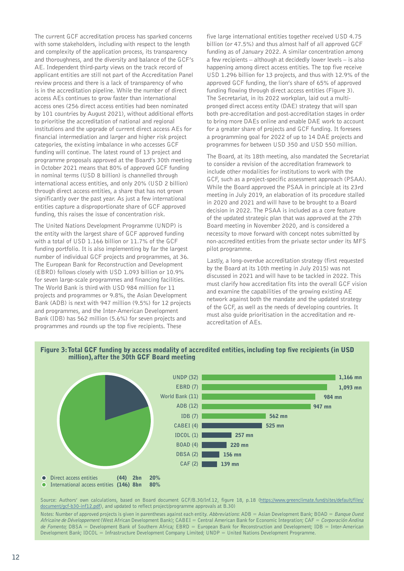The current GCF accreditation process has sparked concerns with some stakeholders, including with respect to the length and complexity of the application process, its transparency and thoroughness, and the diversity and balance of the GCF's AE. Independent third-party views on the track record of applicant entities are still not part of the Accreditation Panel review process and there is a lack of transparency of who is in the accreditation pipeline. While the number of direct access AEs continues to grow faster than international access ones (256 direct access entities had been nominated by 101 countries by August 2021), without additional efforts to prioritise the accreditation of national and regional institutions and the upgrade of current direct access AEs for financial intermediation and larger and higher risk project categories, the existing imbalance in who accesses GCF funding will continue. The latest round of 13 project and programme proposals approved at the Board's 30th meeting in October 2021 means that 80% of approved GCF funding in nominal terms (USD 8 billion) is channelled through international access entities, and only 20% (USD 2 billion) through direct access entities, a share that has not grown significantly over the past year. As just a few international entities capture a disproportionate share of GCF approved funding, this raises the issue of concentration risk.

The United Nations Development Programme (UNDP) is the entity with the largest share of GCF approved funding with a total of USD 1.166 billion or 11.7% of the GCF funding portfolio. It is also implementing by far the largest number of individual GCF projects and programmes, at 36. The European Bank for Reconstruction and Development (EBRD) follows closely with USD 1.093 billion or 10.9% for seven large-scale programmes and financing facilities. The World Bank is third with USD 984 million for 11 projects and programmes or 9.8%, the Asian Development Bank (ADB) is next with 947 million (9.5%) for 12 projects and programmes, and the Inter-American Development Bank (IDB) has 562 million (5.6%) for seven projects and programmes and rounds up the top five recipients. These

five large international entities together received USD 4.75 billion (or 47.5%) and thus almost half of all approved GCF funding as of January 2022. A similar concentration among a few recipients – although at decidedly lower levels – is also happening among direct access entities. The top five receive USD 1.296 billion for 13 projects, and thus with 12.9% of the approved GCF funding, the lion's share of 65% of approved funding flowing through direct access entities (Figure 3). The Secretariat, in its 2022 workplan, laid out a multipronged direct access entity (DAE) strategy that will span both pre-accreditation and post-accreditation stages in order to bring more DAEs online and enable DAE work to account for a greater share of projects and GCF funding. It foresees a programming goal for 2022 of up to 14 DAE projects and programmes for between USD 350 and USD 550 million.

The Board, at its 18th meeting, also mandated the Secretariat to consider a revision of the accreditation framework to include other modalities for institutions to work with the GCF, such as a project-specific assessment approach (PSAA). While the Board approved the PSAA in principle at its 23rd meeting in July 2019, an elaboration of its procedure stalled in 2020 and 2021 and will have to be brought to a Board decision in 2022. The PSAA is included as a core feature of the updated strategic plan that was approved at the 27th Board meeting in November 2020, and is considered a necessity to move forward with concept notes submitted by non-accredited entities from the private sector under its MFS pilot programme.

Lastly, a long-overdue accreditation strategy (first requested by the Board at its 10th meeting in July 2015) was not discussed in 2021 and will have to be tackled in 2022. This must clarify how accreditation fits into the overall GCF vision and examine the capabilities of the growing existing AE network against both the mandate and the updated strategy of the GCF, as well as the needs of developing countries. It must also guide prioritisation in the accreditation and reaccreditation of AEs.



Source: Authors' own calculations, based on Board document GCF/B.30/Inf.12, figure 18, p.18 [\(https://www.greenclimate.fund/sites/default/files/](https://www.greenclimate.fund/sites/default/files/document/gcf-b30-inf12.pdf) [document/gcf-b30-inf12.pdf\)](https://www.greenclimate.fund/sites/default/files/document/gcf-b30-inf12.pdf), and updated to reflect project/programme approvals at B.30)

Notes: Number of approved projects is given in parentheses against each entity. Abbreviations: ADB = Asian Development Bank; BOAD = Banque Ouest Africaine de Développement (West African Development Bank); CABEI = Central American Bank for Economic Integration; CAF = Corporación Andina de Fomento; DBSA = Development Bank of Southern Africa; EBRD = European Bank for Reconstruction and Development; IDB = Inter-American Development Bank; IDCOL = Infrastructure Development Company Limited; UNDP = United Nations Development Programme.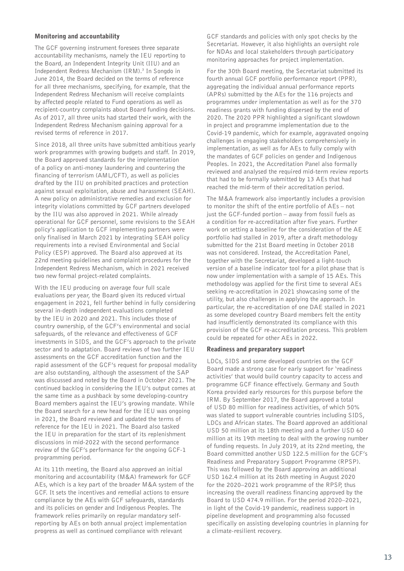#### Monitoring and accountability

The GCF governing instrument foresees three separate accountability mechanisms, namely the IEU reporting to the Board, an Independent Integrity Unit (IIU) and an Independent Redress Mechanism (IRM).<sup>3</sup> In Songdo in June 2014, the Board decided on the terms of reference for all three mechanisms, specifying, for example, that the Independent Redress Mechanism will receive complaints by affected people related to Fund operations as well as recipient-country complaints about Board funding decisions. As of 2017, all three units had started their work, with the Independent Redress Mechanism gaining approval for a revised terms of reference in 2017.

Since 2018, all three units have submitted ambitious yearly work programmes with growing budgets and staff. In 2019, the Board approved standards for the implementation of a policy on anti-money laundering and countering the financing of terrorism (AML/CFT), as well as policies drafted by the IIU on prohibited practices and protection against sexual exploitation, abuse and harassment (SEAH). A new policy on administrative remedies and exclusion for integrity violations committed by GCF partners developed by the IIU was also approved in 2021. While already operational for GCF personnel, some revisions to the SEAH policy's application to GCF implementing partners were only finalised in March 2021 by integrating SEAH policy requirements into a revised Environmental and Social Policy (ESP) approved. The Board also approved at its 22nd meeting guidelines and complaint procedures for the Independent Redress Mechanism, which in 2021 received two new formal project-related complaints.

With the IEU producing on average four full scale evaluations per year, the Board given its reduced virtual engagement in 2021, fell further behind in fully considering several in-depth independent evaluations completed by the IEU in 2020 and 2021. This includes those of country ownership, of the GCF's environmental and social safeguards, of the relevance and effectiveness of GCF investments in SIDS, and the GCF's approach to the private sector and to adaptation. Board reviews of two further IEU assessments on the GCF accreditation function and the rapid assessment of the GCF's request for proposal modality are also outstanding, although the assessment of the SAP was discussed and noted by the Board in October 2021. The continued backlog in considering the IEU's output comes at the same time as a pushback by some developing-country Board members against the IEU's growing mandate. While the Board search for a new head for the IEU was ongoing in 2021, the Board reviewed and updated the terms of reference for the IEU in 2021. The Board also tasked the IEU in preparation for the start of its replenishment discussions in mid-2022 with the second performance review of the GCF's performance for the ongoing GCF-1 programming period.

At its 11th meeting, the Board also approved an initial monitoring and accountability (M&A) framework for GCF AEs, which is a key part of the broader M&A system of the GCF. It sets the incentives and remedial actions to ensure compliance by the AEs with GCF safeguards, standards and its policies on gender and Indigenous Peoples. The framework relies primarily on regular mandatory selfreporting by AEs on both annual project implementation progress as well as continued compliance with relevant

GCF standards and policies with only spot checks by the Secretariat. However, it also highlights an oversight role for NDAs and local stakeholders through participatory monitoring approaches for project implementation.

For the 30th Board meeting, the Secretariat submitted its fourth annual GCF portfolio performance report (PPR), aggregating the individual annual performance reports (APRs) submitted by the AEs for the 116 projects and programmes under implementation as well as for the 370 readiness grants with funding dispersed by the end of 2020. The 2020 PPR highlighted a significant slowdown in project and programme implementation due to the Covid-19 pandemic, which for example, aggravated ongoing challenges in engaging stakeholders comprehensively in implementation, as well as for AEs to fully comply with the mandates of GCF policies on gender and Indigenous Peoples. In 2021, the Accreditation Panel also formally reviewed and analysed the required mid-term review reports that had to be formally submitted by 13 AEs that had reached the mid-term of their accreditation period.

The M&A framework also importantly includes a provision to monitor the shift of the entire portfolio of AEs – not just the GCF-funded portion – away from fossil fuels as a condition for re-accreditation after five years. Further work on setting a baseline for the consideration of the AE portfolio had stalled in 2019, after a draft methodology submitted for the 21st Board meeting in October 2018 was not considered. Instead, the Accreditation Panel, together with the Secretariat, developed a light-touch version of a baseline indicator tool for a pilot phase that is now under implementation with a sample of 15 AEs. This methodology was applied for the first time to several AEs seeking re-accreditation in 2021 showcasing some of the utility, but also challenges in applying the approach. In particular, the re-accreditation of one DAE stalled in 2021 as some developed country Board members felt the entity had insufficiently demonstrated its compliance with this provision of the GCF re-accreditation process. This problem could be repeated for other AEs in 2022.

## Readiness and preparatory support

LDCs, SIDS and some developed countries on the GCF Board made a strong case for early support for 'readiness activities' that would build country capacity to access and programme GCF finance effectively. Germany and South Korea provided early resources for this purpose before the IRM. By September 2017, the Board approved a total of USD 80 million for readiness activities, of which 50% was slated to support vulnerable countries including SIDS, LDCs and African states. The Board approved an additional USD 50 million at its 18th meeting and a further USD 60 million at its 19th meeting to deal with the growing number of funding requests. In July 2019, at its 22nd meeting, the Board committed another USD 122.5 million for the GCF's Readiness and Preparatory Support Programme (RPSP). This was followed by the Board approving an additional USD 162.4 million at its 26th meeting in August 2020 for the 2020–2021 work programme of the RPSP, thus increasing the overall readiness financing approved by the Board to USD 474.9 million. For the period 2020–2021, in light of the Covid-19 pandemic, readiness support in pipeline development and programming also focussed specifically on assisting developing countries in planning for a climate-resilient recovery.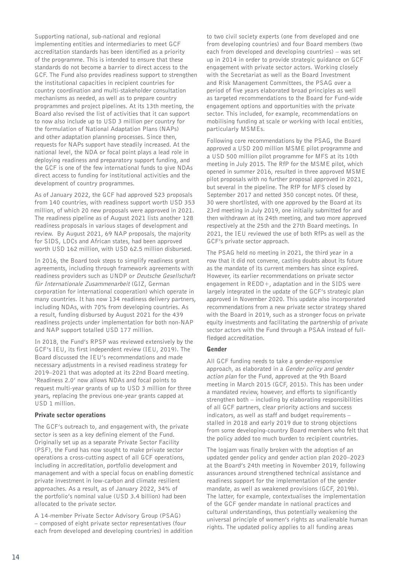Supporting national, sub-national and regional implementing entities and intermediaries to meet GCF accreditation standards has been identified as a priority of the programme. This is intended to ensure that these standards do not become a barrier to direct access to the GCF. The Fund also provides readiness support to strengthen the institutional capacities in recipient countries for country coordination and multi-stakeholder consultation mechanisms as needed, as well as to prepare country programmes and project pipelines. At its 13th meeting, the Board also revised the list of activities that it can support to now also include up to USD 3 million per country for the formulation of National Adaptation Plans (NAPs) and other adaptation planning processes. Since then, requests for NAPs support have steadily increased. At the national level, the NDA or focal point plays a lead role in deploying readiness and preparatory support funding, and the GCF is one of the few international funds to give NDAs direct access to funding for institutional activities and the development of country programmes.

As of January 2022, the GCF had approved 523 proposals from 140 countries, with readiness support worth USD 353 million, of which 20 new proposals were approved in 2021. The readiness pipeline as of August 2021 lists another 128 readiness proposals in various stages of development and review. By August 2021, 69 NAP proposals, the majority for SIDS, LDCs and African states, had been approved worth USD 162 million, with USD 62.5 million disbursed.

In 2016, the Board took steps to simplify readiness grant agreements, including through framework agreements with readiness providers such as UNDP or Deutsche Gesellschaft für Internationale Zusammenarbeit (GIZ, German corporation for international cooperation) which operate in many countries. It has now 134 readiness delivery partners, including NDAs, with 70% from developing countries. As a result, funding disbursed by August 2021 for the 439 readiness projects under implementation for both non-NAP and NAP support totalled USD 177 million.

In 2018, the Fund's RPSP was reviewed extensively by the GCF's IEU, its first independent review (IEU, 2019). The Board discussed the IEU's recommendations and made necessary adjustments in a revised readiness strategy for 2019–2021 that was adopted at its 22nd Board meeting. 'Readiness 2.0' now allows NDAs and focal points to request multi-year grants of up to USD 3 million for three years, replacing the previous one-year grants capped at USD 1 million.

## Private sector operations

The GCF's outreach to, and engagement with, the private sector is seen as a key defining element of the Fund. Originally set up as a separate Private Sector Facility (PSF), the Fund has now sought to make private sector operations a cross-cutting aspect of all GCF operations, including in accreditation, portfolio development and management and with a special focus on enabling domestic private investment in low-carbon and climate resilient approaches. As a result, as of January 2022, 34% of the portfolio's nominal value (USD 3.4 billion) had been allocated to the private sector.

A 14-member Private Sector Advisory Group (PSAG) – composed of eight private sector representatives (four each from developed and developing countries) in addition

to two civil society experts (one from developed and one from developing countries) and four Board members (two each from developed and developing countries) – was set up in 2014 in order to provide strategic guidance on GCF engagement with private sector actors. Working closely with the Secretariat as well as the Board Investment and Risk Management Committees, the PSAG over a period of five years elaborated broad principles as well as targeted recommendations to the Board for Fund-wide engagement options and opportunities with the private sector. This included, for example, recommendations on mobilising funding at scale or working with local entities, particularly MSMEs.

Following core recommendations by the PSAG, the Board approved a USD 200 million MSME pilot programme and a USD 500 million pilot programme for MFS at its 10th meeting in July 2015. The RfP for the MSME pilot, which opened in summer 2016, resulted in three approved MSME pilot proposals with no further proposal approved in 2021, but several in the pipeline. The RfP for MFS closed by September 2017 and netted 350 concept notes. Of these, 30 were shortlisted, with one approved by the Board at its 23rd meeting in July 2019, one initially submitted for and then withdrawn at its 24th meeting, and two more approved respectively at the 25th and the 27th Board meetings. In 2021, the IEU reviewed the use of both RfPs as well as the GCF's private sector approach.

The PSAG held no meeting in 2021, the third year in a row that it did not convene, casting doubts about its future as the mandate of its current members has since expired. However, its earlier recommendations on private sector engagement in REDD+, adaptation and in the SIDS were largely integrated in the update of the GCF's strategic plan approved in November 2020. This update also incorporated recommendations from a new private sector strategy shared with the Board in 2019, such as a stronger focus on private equity investments and facilitating the partnership of private sector actors with the Fund through a PSAA instead of fullfledged accreditation.

## Gender

All GCF funding needs to take a gender-responsive approach, as elaborated in a Gender policy and gender action plan for the Fund, approved at the 9th Board meeting in March 2015 (GCF, 2015). This has been under a mandated review, however, and efforts to significantly strengthen both – including by elaborating responsibilities of all GCF partners, clear priority actions and success indicators, as well as staff and budget requirements – stalled in 2018 and early 2019 due to strong objections from some developing-country Board members who felt that the policy added too much burden to recipient countries.

The logjam was finally broken with the adoption of an updated gender policy and gender action plan 2020–2023 at the Board's 24th meeting in November 2019, following assurances around strengthened technical assistance and readiness support for the implementation of the gender mandate, as well as weakened provisions (GCF, 2019b). The latter, for example, contextualises the implementation of the GCF gender mandate in national practices and cultural understandings, thus potentially weakening the universal principle of women's rights as unalienable human rights. The updated policy applies to all funding areas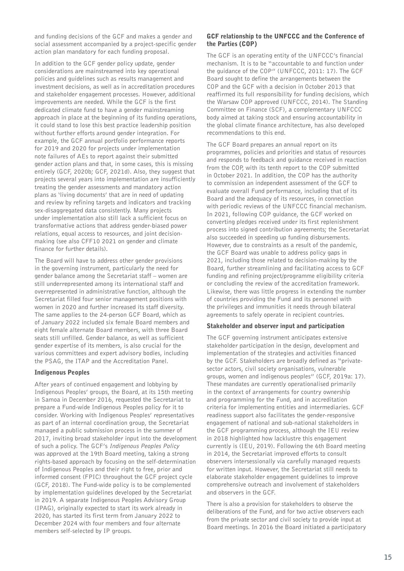and funding decisions of the GCF and makes a gender and social assessment accompanied by a project-specific gender action plan mandatory for each funding proposal.

In addition to the GCF gender policy update, gender considerations are mainstreamed into key operational policies and guidelines such as results management and investment decisions, as well as in accreditation procedures and stakeholder engagement processes. However, additional improvements are needed. While the GCF is the first dedicated climate fund to have a gender mainstreaming approach in place at the beginning of its funding operations, it could stand to lose this best practice leadership position without further efforts around gender integration. For example, the GCF annual portfolio performance reports for 2019 and 2020 for projects under implementation note failures of AEs to report against their submitted gender action plans and that, in some cases, this is missing entirely (GCF, 2020b; GCF, 2021d). Also, they suggest that projects several years into implementation are insufficiently treating the gender assessments and mandatory action plans as 'living documents' that are in need of updating and review by refining targets and indicators and tracking sex-disaggregated data consistently. Many projects under implementation also still lack a sufficient focus on transformative actions that address gender-biased power relations, equal access to resources, and joint decisionmaking (see also CFF10 2021 on gender and climate finance for further details).

The Board will have to address other gender provisions in the governing instrument, particularly the need for gender balance among the Secretariat staff – women are still underrepresented among its international staff and overrepresented in administrative function, although the Secretariat filled four senior management positions with women in 2020 and further increased its staff diversity. The same applies to the 24-person GCF Board, which as of January 2022 included six female Board members and eight female alternate Board members, with three Board seats still unfilled. Gender balance, as well as sufficient gender expertise of its members, is also crucial for the various committees and expert advisory bodies, including the PSAG, the ITAP and the Accreditation Panel.

## Indigenous Peoples

After years of continued engagement and lobbying by Indigenous Peoples' groups, the Board, at its 15th meeting in Samoa in December 2016, requested the Secretariat to prepare a Fund-wide Indigenous Peoples policy for it to consider. Working with Indigenous Peoples' representatives as part of an internal coordination group, the Secretariat managed a public submission process in the summer of 2017, inviting broad stakeholder input into the development of such a policy. The GCF's Indigenous Peoples Policy was approved at the 19th Board meeting, taking a strong rights-based approach by focusing on the self-determination of Indigenous Peoples and their right to free, prior and informed consent (FPIC) throughout the GCF project cycle (GCF, 2018). The Fund-wide policy is to be complemented by implementation guidelines developed by the Secretariat in 2019. A separate Indigenous Peoples Advisory Group (IPAG), originally expected to start its work already in 2020, has started its first term from January 2022 to December 2024 with four members and four alternate members self-selected by IP groups.

#### GCF relationship to the UNFCCC and the Conference of the Parties (COP)

The GCF is an operating entity of the UNFCCC's financial mechanism. It is to be "accountable to and function under the guidance of the COP" (UNFCCC, 2011: 17). The GCF Board sought to define the arrangements between the COP and the GCF with a decision in October 2013 that reaffirmed its full responsibility for funding decisions, which the Warsaw COP approved (UNFCCC, 2014). The Standing Committee on Finance (SCF), a complementary UNFCCC body aimed at taking stock and ensuring accountability in the global climate finance architecture, has also developed recommendations to this end.

The GCF Board prepares an annual report on its programmes, policies and priorities and status of resources and responds to feedback and guidance received in reaction from the COP, with its tenth report to the COP submitted in October 2021. In addition, the COP has the authority to commission an independent assessment of the GCF to evaluate overall Fund performance, including that of its Board and the adequacy of its resources, in connection with periodic reviews of the UNFCCC financial mechanism. In 2021, following COP guidance, the GCF worked on converting pledges received under its first replenishment process into signed contribution agreements; the Secretariat also succeeded in speeding up funding disbursements. However, due to constraints as a result of the pandemic, the GCF Board was unable to address policy gaps in 2021, including those related to decision-making by the Board, further streamlining and facilitating access to GCF funding and refining project/programme eligibility criteria or concluding the review of the accreditation framework. Likewise, there was little progress in extending the number of countries providing the Fund and its personnel with the privileges and immunities it needs through bilateral agreements to safely operate in recipient countries.

## Stakeholder and observer input and participation

The GCF governing instrument anticipates extensive stakeholder participation in the design, development and implementation of the strategies and activities financed by the GCF. Stakeholders are broadly defined as "privatesector actors, civil society organisations, vulnerable groups, women and indigenous peoples" (GCF, 2019a: 17). These mandates are currently operationalised primarily in the context of arrangements for country ownership and programming for the Fund, and in accreditation criteria for implementing entities and intermediaries. GCF readiness support also facilitates the gender-responsive engagement of national and sub-national stakeholders in the GCF programming process, although the IEU review in 2018 highlighted how lacklustre this engagement currently is (IEU, 2019). Following the 6th Board meeting in 2014, the Secretariat improved efforts to consult observers intersessionally via carefully managed requests for written input. However, the Secretariat still needs to elaborate stakeholder engagement guidelines to improve comprehensive outreach and involvement of stakeholders and observers in the GCF.

There is also a provision for stakeholders to observe the deliberations of the Fund, and for two active observers each from the private sector and civil society to provide input at Board meetings. In 2016 the Board initiated a participatory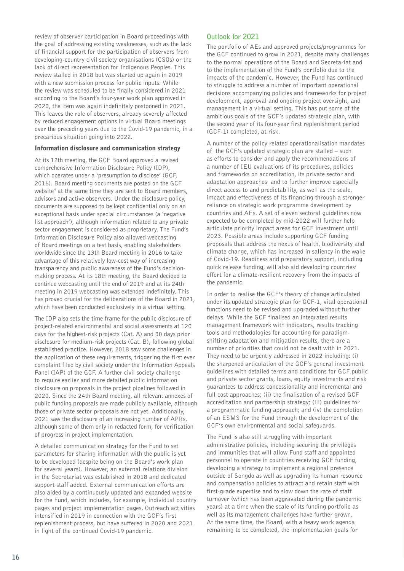review of observer participation in Board proceedings with the goal of addressing existing weaknesses, such as the lack of financial support for the participation of observers from developing-country civil society organisations (CSOs) or the lack of direct representation for Indigenous Peoples. This review stalled in 2018 but was started up again in 2019 with a new submission process for public inputs. While the review was scheduled to be finally considered in 2021 according to the Board's four-year work plan approved in 2020, the item was again indefinitely postponed in 2021. This leaves the role of observers, already severely affected by reduced engagement options in virtual Board meetings over the preceding years due to the Covid-19 pandemic, in a precarious situation going into 2022.

## Information disclosure and communication strategy

At its 12th meeting, the GCF Board approved a revised comprehensive Information Disclosure Policy (IDP), which operates under a 'presumption to disclose' (GCF, 2016). Board meeting documents are posted on the GCF website<sup>4</sup> at the same time they are sent to Board members, advisors and active observers. Under the disclosure policy, documents are supposed to be kept confidential only on an exceptional basis under special circumstances (a 'negative list approach'), although information related to any private sector engagement is considered as proprietary. The Fund's Information Disclosure Policy also allowed webcasting of Board meetings on a test basis, enabling stakeholders worldwide since the 13th Board meeting in 2016 to take advantage of this relatively low-cost way of increasing transparency and public awareness of the Fund's decisionmaking process. At its 18th meeting, the Board decided to continue webcasting until the end of 2019 and at its 24th meeting in 2019 webcasting was extended indefinitely. This has proved crucial for the deliberations of the Board in 2021, which have been conducted exclusively in a virtual setting.

The IDP also sets the time frame for the public disclosure of project-related environmental and social assessments at 120 days for the highest-risk projects (Cat. A) and 30 days prior disclosure for medium-risk projects (Cat. B), following global established practice. However, 2018 saw some challenges in the application of these requirements, triggering the first ever complaint filed by civil society under the Information Appeals Panel (IAP) of the GCF. A further civil society challenge to require earlier and more detailed public information disclosure on proposals in the project pipelines followed in 2020. Since the 24th Board meeting, all relevant annexes of public funding proposals are made publicly available, although those of private sector proposals are not yet. Additionally, 2021 saw the disclosure of an increasing number of APRs, although some of them only in redacted form, for verification of progress in project implementation.

A detailed communication strategy for the Fund to set parameters for sharing information with the public is yet to be developed (despite being on the Board's work plan for several years). However, an external relations division in the Secretariat was established in 2018 and dedicated support staff added. External communication efforts are also aided by a continuously updated and expanded website for the Fund, which includes, for example, individual country pages and project implementation pages. Outreach activities intensified in 2019 in connection with the GCF's first replenishment process, but have suffered in 2020 and 2021 in light of the continued Covid-19 pandemic.

## **Outlook for 2021**

The portfolio of AEs and approved projects/programmes for the GCF continued to grow in 2021, despite many challenges to the normal operations of the Board and Secretariat and to the implementation of the Fund's portfolio due to the impacts of the pandemic. However, the Fund has continued to struggle to address a number of important operational decisions accompanying policies and frameworks for project development, approval and ongoing project oversight, and management in a virtual setting. This has put some of the ambitious goals of the GCF's updated strategic plan, with the second year of its four-year first replenishment period (GCF-1) completed, at risk.

A number of the policy related operationalisation mandates of the GCF's updated strategic plan are stalled – such as efforts to consider and apply the recommendations of a number of IEU evaluations of its procedures, policies and frameworks on accreditation, its private sector and adaptation approaches and to further improve especially direct access to and predictability, as well as the scale, impact and effectiveness of its financing through a stronger reliance on strategic work programme development by countries and AEs. A set of eleven sectoral guidelines now expected to be completed by mid-2022 will further help articulate priority impact areas for GCF investment until 2023. Possible areas include supporting GCF funding proposals that address the nexus of health, biodiversity and climate change, which has increased in saliency in the wake of Covid-19. Readiness and preparatory support, including quick release funding, will also aid developing countries' effort for a climate-resilient recovery from the impacts of the pandemic.

In order to realise the GCF's theory of change articulated under its updated strategic plan for GCF-1, vital operational functions need to be revised and upgraded without further delays. While the GCF finalised an integrated results management framework with indicators, results tracking tools and methodologies for accounting for paradigmshifting adaptation and mitigation results, there are a number of priorities that could not be dealt with in 2021. They need to be urgently addressed in 2022 including: (i) the sharpened articulation of the GCF's general investment guidelines with detailed terms and conditions for GCF public and private sector grants, loans, equity investments and risk guarantees to address concessionality and incremental and full cost approaches; (ii) the finalisation of a revised GCF accreditation and partnership strategy; (iii) guidelines for a programmatic funding approach; and (iv) the completion of an ESMS for the Fund through the development of the GCF's own environmental and social safeguards.

The Fund is also still struggling with important administrative policies, including securing the privileges and immunities that will allow Fund staff and appointed personnel to operate in countries receiving GCF funding, developing a strategy to implement a regional presence outside of Songdo as well as upgrading its human resource and compensation policies to attract and retain staff with first-grade expertise and to slow down the rate of staff turnover (which has been aggravated during the pandemic years) at a time when the scale of its funding portfolio as well as its management challenges have further grown. At the same time, the Board, with a heavy work agenda remaining to be completed, the implementation goals for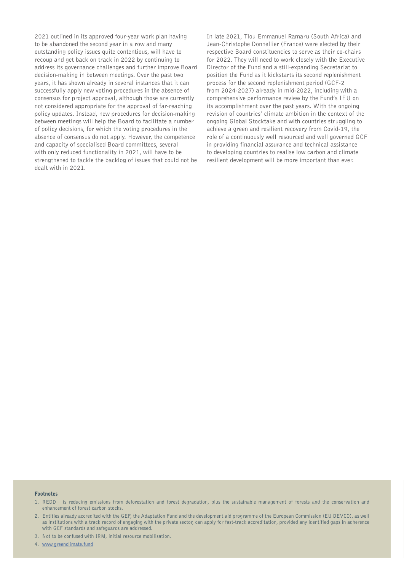2021 outlined in its approved four-year work plan having to be abandoned the second year in a row and many outstanding policy issues quite contentious, will have to recoup and get back on track in 2022 by continuing to address its governance challenges and further improve Board decision-making in between meetings. Over the past two years, it has shown already in several instances that it can successfully apply new voting procedures in the absence of consensus for project approval, although those are currently not considered appropriate for the approval of far-reaching policy updates. Instead, new procedures for decision-making between meetings will help the Board to facilitate a number of policy decisions, for which the voting procedures in the absence of consensus do not apply. However, the competence and capacity of specialised Board committees, several with only reduced functionality in 2021, will have to be strengthened to tackle the backlog of issues that could not be dealt with in 2021.

In late 2021, Tlou Emmanuel Ramaru (South Africa) and Jean-Christophe Donnellier (France) were elected by their respective Board constituencies to serve as their co-chairs for 2022. They will need to work closely with the Executive Director of the Fund and a still-expanding Secretariat to position the Fund as it kickstarts its second replenishment process for the second replenishment period (GCF-2 from 2024-2027) already in mid-2022, including with a comprehensive performance review by the Fund's IEU on its accomplishment over the past years. With the ongoing revision of countries' climate ambition in the context of the ongoing Global Stocktake and with countries struggling to achieve a green and resilient recovery from Covid-19, the role of a continuously well resourced and well governed GCF in providing financial assurance and technical assistance to developing countries to realise low carbon and climate resilient development will be more important than ever.

**17**

#### Footnotes

- 1. REDD+ is reducing emissions from deforestation and forest degradation, plus the sustainable management of forests and the conservation and enhancement of forest carbon stocks.
- 2. Entities already accredited with the GEF, the Adaptation Fund and the development aid programme of the European Commission (EU DEVCO), as well as institutions with a track record of engaging with the private sector, can apply for fast-track accreditation, provided any identified gaps in adherence with GCF standards and safeguards are addressed.
- 3. Not to be confused with IRM, initial resource mobilisation.

4. [www.greenclimate.fund](http://www.greenclimate.fund)